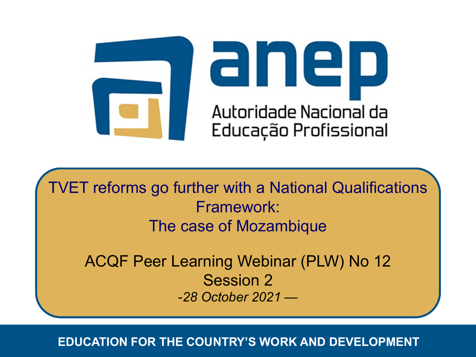

**TVET reforms go further with a National Qualifications** Framework: The case of Mozambique

ACQF Peer Learning Webinar (PLW) No 12 Session 2 -*28 October 2021 —*

*EDUCATION FOR THE COUNTRY'S WORK AND DEVELOPMENT* **EDUCATION FOR THE COUNTRY'S WORK AND DEVELOPMENT**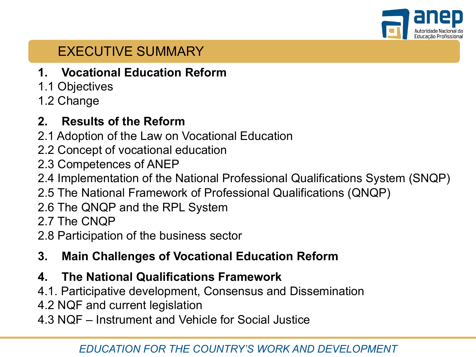

# EXECUTIVE SUMMARY

- **1. Vocational Education Reform**
- 1.1 Objectives
- 1.2 Change

## **2. Results of the Reform**

- 2.1 Adoption of the Law on Vocational Education
- 2.2 Concept of vocational education
- 2.3 Competences of ANEP
- 2.4 Implementation of the National Professional Qualifications System (SNQP)
- 2.5 The National Framework of Professional Qualifications (QNQP)
- 2.6 The QNQP and the RPL System
- 2.7 The CNQP
- 2.8 Participation of the business sector
- **3. Main Challenges of Vocational Education Reform**
- **4. The National Qualifications Framework**
- 4.1. Participative development, Consensus and Dissemination
- 4.2 NQF and current legislation
- 4.3 NQF Instrument and Vehicle for Social Justice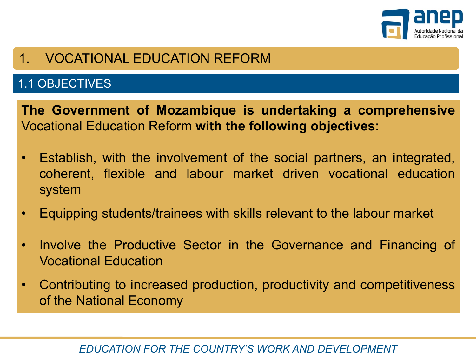

# 1. VOCATIONAL EDUCATION REFORM

## 1.1 OBJECTIVES

**The Government of Mozambique is undertaking a comprehensive** Vocational Education Reform **with the following objectives:**

- Establish, with the involvement of the social partners, an integrated, coherent, flexible and labour market driven vocational education system
- Equipping students/trainees with skills relevant to the labour market
- Involve the Productive Sector in the Governance and Financing of Vocational Education
- Contributing to increased production, productivity and competitiveness of the National Economy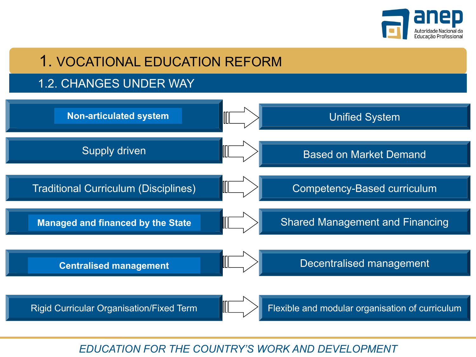

# 1. VOCATIONAL EDUCATION REFORM

#### 1.2. CHANGES UNDER WAY

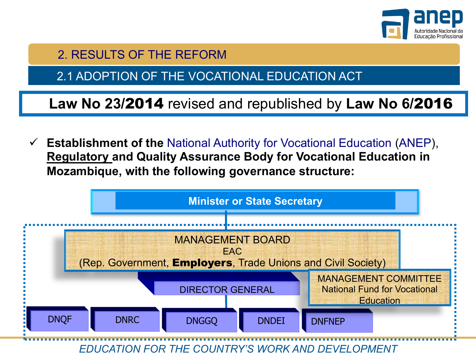

2.1 ADOPTION OF THE VOCATIONAL EDUCATION ACT

**Law No 23/**2014 revised and republished by **Law No 6/**2016

ü **Establishment of the** National Authority for Vocational Education (ANEP), **Regulatory and Quality Assurance Body for Vocational Education in Mozambique, with the following governance structure:** 

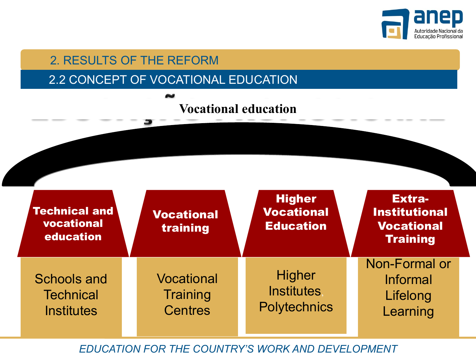

#### 2.2 CONCEPT OF VOCATIONAL EDUCATION

# **Vocational education**

| <b>Technical and</b><br>vocational<br>education      | <b>Vocational</b><br>training                   | <b>Higher</b><br><b>Vocational</b><br><b>Education</b>    | <b>Extra-</b><br><b>Institutional</b><br><b>Vocational</b><br><b>Training</b> |
|------------------------------------------------------|-------------------------------------------------|-----------------------------------------------------------|-------------------------------------------------------------------------------|
| Schools and<br><b>Technical</b><br><b>Institutes</b> | Vocational<br><b>Training</b><br><b>Centres</b> | <b>Higher</b><br><b>Institutes</b><br><b>Polytechnics</b> | Non-Formal or<br><b>Informal</b><br>Lifelong<br>Learning                      |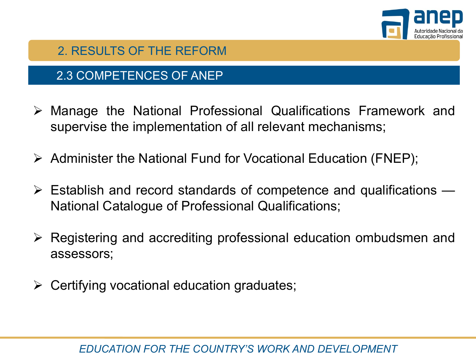

#### 2.3 COMPETENCES OF ANEP

- $\triangleright$  Manage the National Professional Qualifications Framework and supervise the implementation of all relevant mechanisms;
- $\triangleright$  Administer the National Fund for Vocational Education (FNEP);
- $\triangleright$  Establish and record standards of competence and qualifications National Catalogue of Professional Qualifications;
- $\triangleright$  Registering and accrediting professional education ombudsmen and assessors;
- $\triangleright$  Certifying vocational education graduates;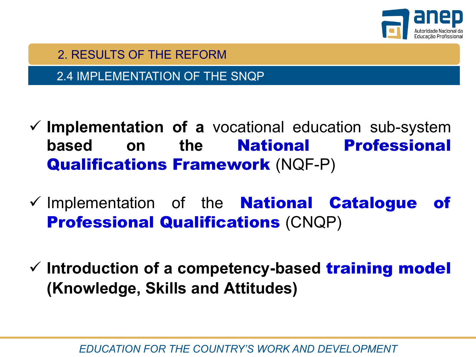

2.4 IMPLEMENTATION OF THE SNQP

- ü **Implementation of a** vocational education sub-system **based on the** National Professional Qualifications Framework (NQF-P)
- $\checkmark$  Implementation of the **National Catalogue of Professional Qualifications (CNQP)**
- ü **Introduction of a competency-based** training model **(Knowledge, Skills and Attitudes)**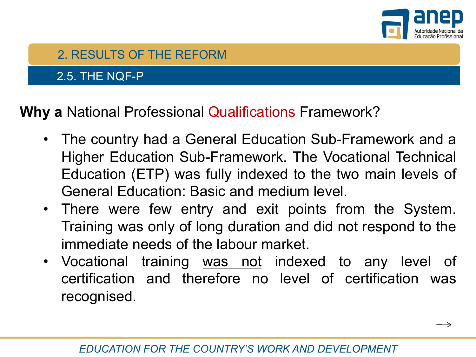

 $\longrightarrow$ 

## 2.5. THE NQF-P

**Why a** National Professional Qualifications Framework?

- The country had a General Education Sub-Framework and a Higher Education Sub-Framework. The Vocational Technical Education (ETP) was fully indexed to the two main levels of General Education: Basic and medium level.
- There were few entry and exit points from the System. Training was only of long duration and did not respond to the immediate needs of the labour market.
- Vocational training was not indexed to any level of certification and therefore no level of certification was recognised.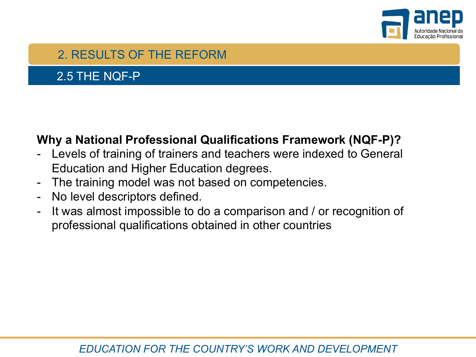

#### 2.5 THE NQF-P

#### **Why a National Professional Qualifications Framework (NQF-P)?**

- Levels of training of trainers and teachers were indexed to General Education and Higher Education degrees.
- The training model was not based on competencies.
- No level descriptors defined.
- It was almost impossible to do a comparison and / or recognition of professional qualifications obtained in other countries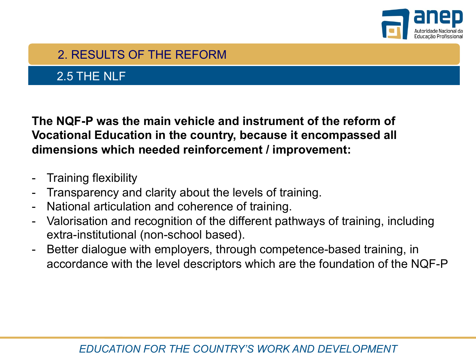

## 2.5 THE NLF

**The NQF-P was the main vehicle and instrument of the reform of Vocational Education in the country, because it encompassed all dimensions which needed reinforcement / improvement:**

- **Training flexibility**
- Transparency and clarity about the levels of training.
- National articulation and coherence of training.
- Valorisation and recognition of the different pathways of training, including extra-institutional (non-school based).
- Better dialogue with employers, through competence-based training, in accordance with the level descriptors which are the foundation of the NQF-P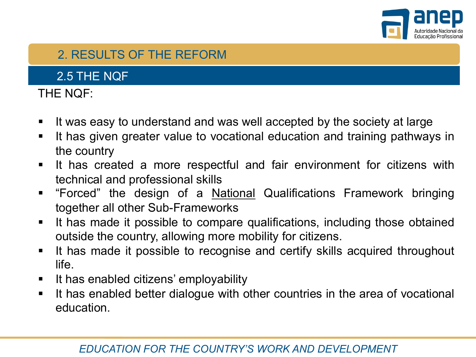

2.5 THE NQF

#### THE NQF:

- It was easy to understand and was well accepted by the society at large
- It has given greater value to vocational education and training pathways in the country
- § It has created a more respectful and fair environment for citizens with technical and professional skills
- **•** "Forced" the design of a National Qualifications Framework bringing together all other Sub-Frameworks
- **•** It has made it possible to compare qualifications, including those obtained outside the country, allowing more mobility for citizens.
- **•** It has made it possible to recognise and certify skills acquired throughout life.
- It has enabled citizens' employability
- **•** It has enabled better dialogue with other countries in the area of vocational education.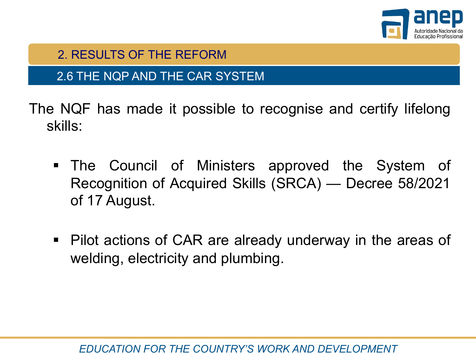

#### 2.6 THE NQP AND THE CAR SYSTEM

The NQF has made it possible to recognise and certify lifelong skills:

- § The Council of Ministers approved the System of Recognition of Acquired Skills (SRCA) — Decree 58/2021 of 17 August.
- Pilot actions of CAR are already underway in the areas of welding, electricity and plumbing.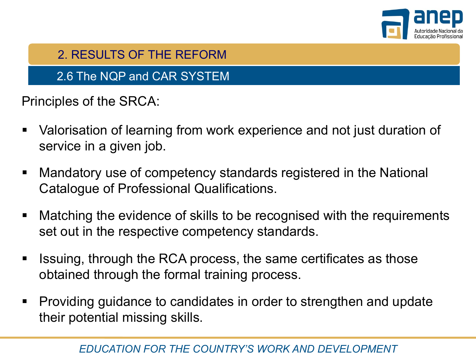

2.6 The NQP and CAR SYSTEM

Principles of the SRCA:

- Valorisation of learning from work experience and not just duration of service in a given job.
- Mandatory use of competency standards registered in the National Catalogue of Professional Qualifications.
- Matching the evidence of skills to be recognised with the requirements set out in the respective competency standards.
- Issuing, through the RCA process, the same certificates as those obtained through the formal training process.
- Providing guidance to candidates in order to strengthen and update their potential missing skills.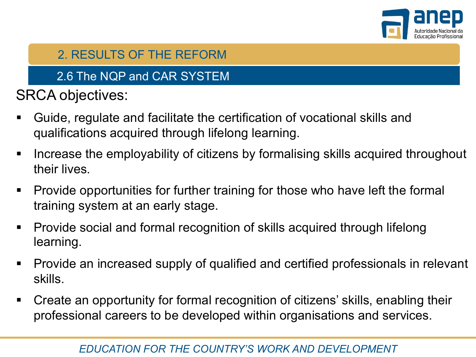

## 2.6 The NQP and CAR SYSTEM

SRCA objectives:

- § Guide, regulate and facilitate the certification of vocational skills and qualifications acquired through lifelong learning.
- Increase the employability of citizens by formalising skills acquired throughout their lives.
- Provide opportunities for further training for those who have left the formal training system at an early stage.
- § Provide social and formal recognition of skills acquired through lifelong learning.
- Provide an increased supply of qualified and certified professionals in relevant skills.
- § Create an opportunity for formal recognition of citizens' skills, enabling their professional careers to be developed within organisations and services.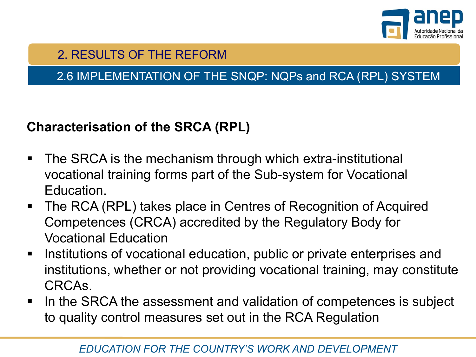

## 2.6 IMPLEMENTATION OF THE SNQP: NQPs and RCA (RPL) SYSTEM

## **Characterisation of the SRCA (RPL)**

- The SRCA is the mechanism through which extra-institutional vocational training forms part of the Sub-system for Vocational Education.
- The RCA (RPL) takes place in Centres of Recognition of Acquired Competences (CRCA) accredited by the Regulatory Body for Vocational Education
- Institutions of vocational education, public or private enterprises and institutions, whether or not providing vocational training, may constitute CRCAs.
- In the SRCA the assessment and validation of competences is subject to quality control measures set out in the RCA Regulation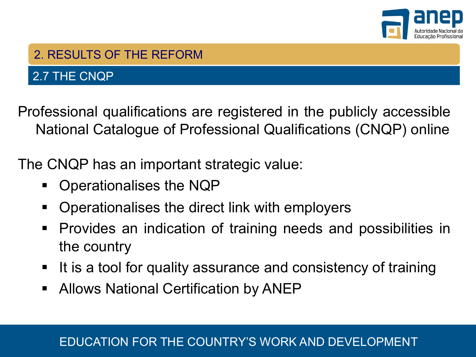

#### 2.7 THE CNQP

Professional qualifications are registered in the publicly accessible National Catalogue of Professional Qualifications (CNQP) online

The CNQP has an important strategic value:

- § Operationalises the NQP
- § Operationalises the direct link with employers
- § Provides an indication of training needs and possibilities in the country
- It is a tool for quality assurance and consistency of training
- Allows National Certification by ANEP

#### *EDUCATION FOR THE COUNTRY'S WORK AND DEVELOPMENT* EDUCATION FOR THE COUNTRY'S WORK AND DEVELOPMENT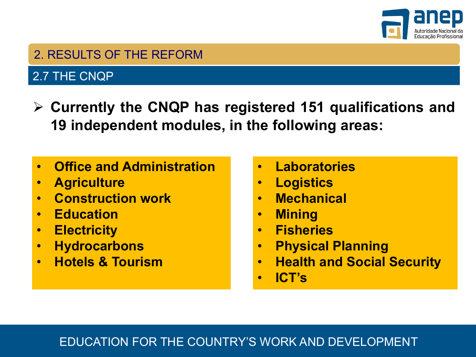

#### 2.7 THE CNQP

- Ø **Currently the CNQP has registered 151 qualifications and 19 independent modules, in the following areas:**
- **Office and Administration**
- **Agriculture**
- **Construction work**
- **Education**
- **Electricity**
- **Hydrocarbons**
- **Hotels & Tourism**
- **Laboratories**
- **Logistics**
- **Mechanical**
- **Mining**
- **Fisheries**
- **Physical Planning**
- **Health and Social Security**
- **ICT's**

#### *EDUCATION FOR THE COUNTRY'S WORK AND DEVELOPMENT* EDUCATION FOR THE COUNTRY'S WORK AND DEVELOPMENT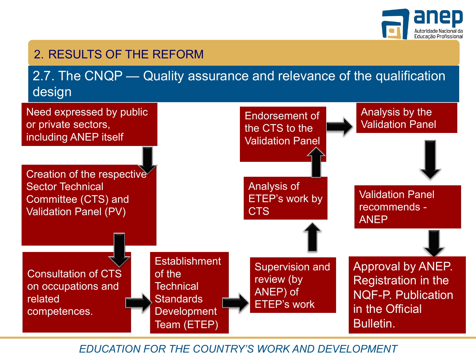

2.7. The CNQP — Quality assurance and relevance of the qualification design

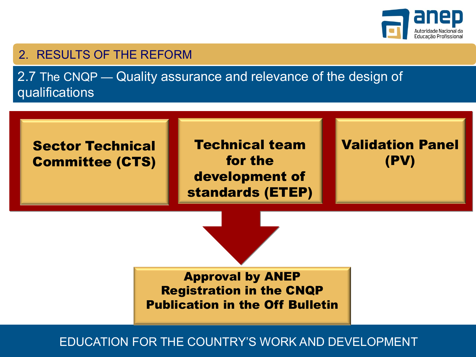

2.7 The CNQP — Quality assurance and relevance of the design of qualifications



Technical team for the development of standards (ETEP) Validation Panel (PV)

Approval by ANEP Registration in the CNQP Publication in the Off Bulletin

*EDUCATION FOR THE COUNTRY'S WORK AND DEVELOPMENT* EDUCATION FOR THE COUNTRY'S WORK AND DEVELOPMENT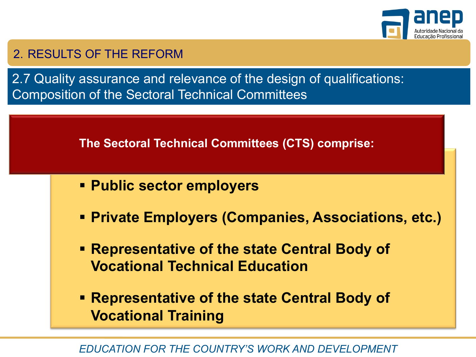

2.7 Quality assurance and relevance of the design of qualifications: Composition of the Sectoral Technical Committees

**The Sectoral Technical Committees (CTS) comprise:**

- § **Public sector employers**
- § **Private Employers (Companies, Associations, etc.)**
- § **Representative of the state Central Body of Vocational Technical Education**
- § **Representative of the state Central Body of Vocational Training**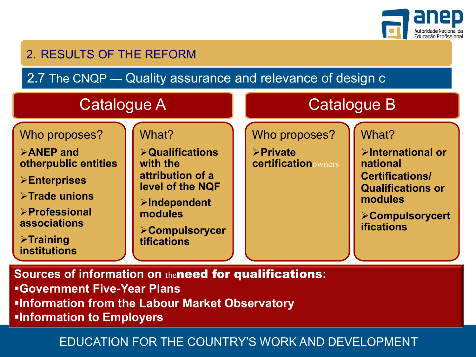

2.7 The CNQP — Quality assurance and relevance of design c

| <b>Catalogue A</b>                                                                                                                                                                                   |                                                                                                                                                                               |  | <b>Catalogue B</b>                                                 |                                                                                                                                                           |  |
|------------------------------------------------------------------------------------------------------------------------------------------------------------------------------------------------------|-------------------------------------------------------------------------------------------------------------------------------------------------------------------------------|--|--------------------------------------------------------------------|-----------------------------------------------------------------------------------------------------------------------------------------------------------|--|
| Who proposes?<br><b>EXAMEP</b> and<br>otherpublic entities<br><b>&gt;Enterprises</b><br>>Trade unions<br><b>&gt;Professional</b><br>associations<br>$\triangleright$ Training<br><b>institutions</b> | What?<br><b>&gt;Qualifications</b><br>with the<br>attribution of a<br>level of the NQF<br><b>&gt;Independent</b><br>modules<br><b>&gt;Compulsorycer</b><br><b>tifications</b> |  | Who proposes?<br><b>&gt;Private</b><br><b>certification</b> owners | What?<br>>International or<br>national<br><b>Certifications/</b><br><b>Qualifications or</b><br>modules<br><b>&gt;Compulsorycert</b><br><b>ifications</b> |  |

**Sources of information on** theneed for qualifications**:** §**Government Five-Year Plans <u>Information from the Labour Market Observatory</u>** §**Information to Employers**

#### *EDUCATION FOR THE COUNTRY'S WORK AND DEVELOPMENT* EDUCATION FOR THE COUNTRY'S WORK AND DEVELOPMENT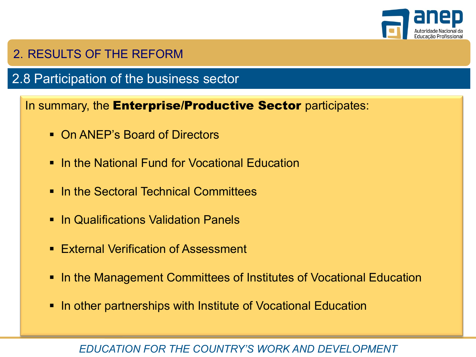

## 2.8 Participation of the business sector

In summary, the **Enterprise/Productive Sector** participates:

- On ANEP's Board of Directors
- In the National Fund for Vocational Education
- In the Sectoral Technical Committees
- In Qualifications Validation Panels
- External Verification of Assessment
- In the Management Committees of Institutes of Vocational Education
- In other partnerships with Institute of Vocational Education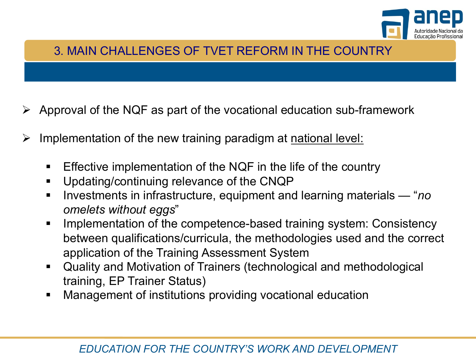

#### 3. MAIN CHALLENGES OF TVET REFORM IN THE COUNTRY

- $\triangleright$  Approval of the NQF as part of the vocational education sub-framework
- $\triangleright$  Implementation of the new training paradigm at national level:
	- Effective implementation of the NQF in the life of the country
	- § Updating/continuing relevance of the CNQP
	- § Investments in infrastructure, equipment and learning materials "*no omelets without eggs*"
	- Implementation of the competence-based training system: Consistency between qualifications/curricula, the methodologies used and the correct application of the Training Assessment System
	- Quality and Motivation of Trainers (technological and methodological training, EP Trainer Status)
	- **Management of institutions providing vocational education**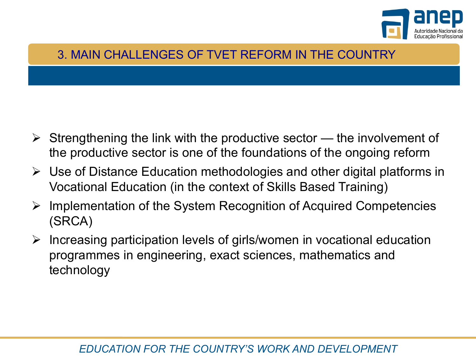

#### 3. MAIN CHALLENGES OF TVET REFORM IN THE COUNTRY

- $\triangleright$  Strengthening the link with the productive sector the involvement of the productive sector is one of the foundations of the ongoing reform
- $\triangleright$  Use of Distance Education methodologies and other digital platforms in Vocational Education (in the context of Skills Based Training)
- $\triangleright$  Implementation of the System Recognition of Acquired Competencies (SRCA)
- $\triangleright$  Increasing participation levels of girls/women in vocational education programmes in engineering, exact sciences, mathematics and technology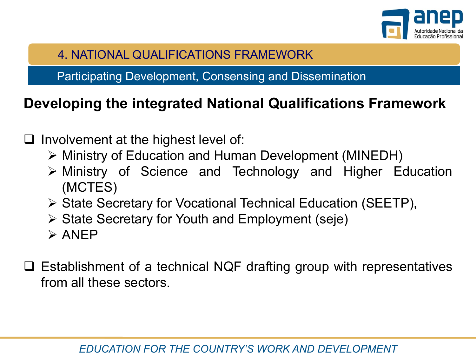

4. NATIONAL QUALIFICATIONS FRAMEWORK

Participating Development, Consensing and Dissemination

# **Developing the integrated National Qualifications Framework**

- $\Box$  Involvement at the highest level of:
	- Ø Ministry of Education and Human Development (MINEDH)
	- $\triangleright$  Ministry of Science and Technology and Higher Education (MCTES)
	- Ø State Secretary for Vocational Technical Education (SEETP),
	- $\triangleright$  State Secretary for Youth and Employment (seje)
	- $\triangleright$  ANEP
- $\Box$  Establishment of a technical NQF drafting group with representatives from all these sectors.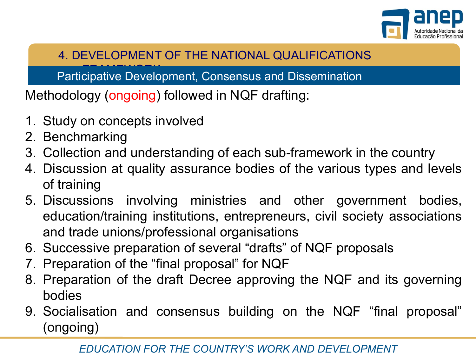

## 4. DEVELOPMENT OF THE NATIONAL QUALIFICATIONS

Participative Development, Consensus and Dissemination

Methodology (ongoing) followed in NQF drafting:

- 1. Study on concepts involved
- 2. Benchmarking
- 3. Collection and understanding of each sub-framework in the country
- 4. Discussion at quality assurance bodies of the various types and levels of training
- 5. Discussions involving ministries and other government bodies, education/training institutions, entrepreneurs, civil society associations and trade unions/professional organisations
- 6. Successive preparation of several "drafts" of NQF proposals
- 7. Preparation of the "final proposal" for NQF
- 8. Preparation of the draft Decree approving the NQF and its governing bodies
- 9. Socialisation and consensus building on the NQF "final proposal" (ongoing)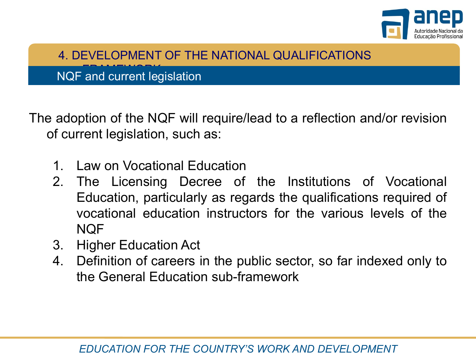

4. DEVELOPMENT OF THE NATIONAL QUALIFICATIONS

NQF and current legislation

The adoption of the NQF will require/lead to a reflection and/or revision of current legislation, such as:

- 1. Law on Vocational Education
- 2. The Licensing Decree of the Institutions of Vocational Education, particularly as regards the qualifications required of vocational education instructors for the various levels of the NQF
- 3. Higher Education Act
- 4. Definition of careers in the public sector, so far indexed only to the General Education sub-framework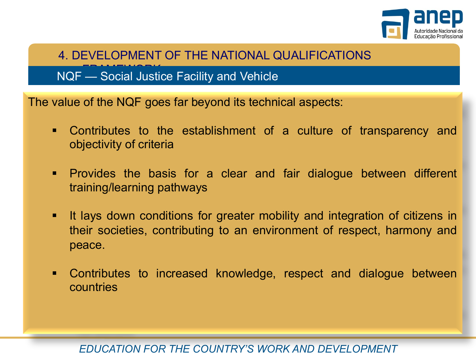

4. DEVELOPMENT OF THE NATIONAL QUALIFICATIONS

NQF — Social Justice Facility and Vehicle

The value of the NQF goes far beyond its technical aspects:

- § Contributes to the establishment of a culture of transparency and objectivity of criteria
- § Provides the basis for a clear and fair dialogue between different training/learning pathways
- **■** It lays down conditions for greater mobility and integration of citizens in their societies, contributing to an environment of respect, harmony and peace.
- § Contributes to increased knowledge, respect and dialogue between countries